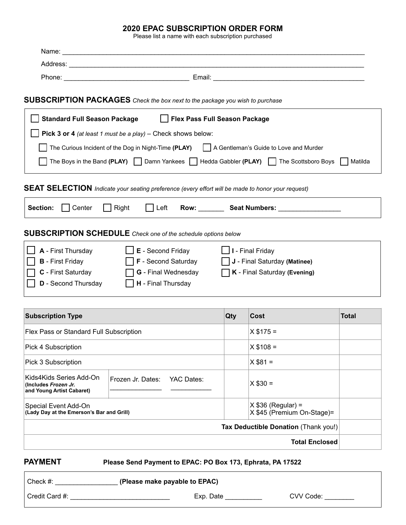#### **2020 EPAC SUBSCRIPTION ORDER FORM**

Please list a name with each subscription purchased

| <b>SUBSCRIPTION PACKAGES</b> Check the box next to the package you wish to purchase<br>Standard Full Season Package   Flex Pass Full Season Package<br><b>Pick 3 or 4</b> (at least 1 must be a play) – Check shows below:<br>The Curious Incident of the Dog in Night-Time (PLAY)<br>    A Gentleman's Guide to Love and Murder<br>The Boys in the Band (PLAY) $\Box$ Damn Yankees $\Box$ Hedda Gabbler (PLAY) $\Box$ The Scottsboro Boys<br>Matilda<br>SEAT SELECTION Indicate your seating preference (every effort will be made to honor your request)<br>$\vert$ Left<br>Section:<br>  Center<br>Right<br>Row: Seat Numbers: Next Seat Numbers:<br><b>SUBSCRIPTION SCHEDULE</b> Check one of the schedule options below<br>$\Box$ <b>E</b> - Second Friday<br>A - First Thursday<br>I - Final Friday<br><b>B</b> - First Friday<br><b>F</b> - Second Saturday<br>J - Final Saturday (Matinee)<br><b>C</b> - First Saturday<br><b>G</b> - Final Wednesday<br>K - Final Saturday (Evening)<br><b>D</b> - Second Thursday<br>H - Final Thursday<br><b>Subscription Type</b><br>Qty<br>Cost<br><b>Total</b><br>Flex Pass or Standard Full Subscription<br>$X $175 =$<br>$X $108 =$<br>Pick 4 Subscription<br>$X $81 =$<br>Frozen Jr. Dates:<br>YAC Dates:<br>$X$ \$30 =<br>$X$ \$36 (Regular) =<br>X \$45 (Premium On-Stage)=<br>(Lady Day at the Emerson's Bar and Grill)<br>Tax Deductible Donation (Thank you!)<br><b>Total Enclosed</b> |                                                                              |  |  |  |  |  |  |  |  |  |
|----------------------------------------------------------------------------------------------------------------------------------------------------------------------------------------------------------------------------------------------------------------------------------------------------------------------------------------------------------------------------------------------------------------------------------------------------------------------------------------------------------------------------------------------------------------------------------------------------------------------------------------------------------------------------------------------------------------------------------------------------------------------------------------------------------------------------------------------------------------------------------------------------------------------------------------------------------------------------------------------------------------------------------------------------------------------------------------------------------------------------------------------------------------------------------------------------------------------------------------------------------------------------------------------------------------------------------------------------------------------------------------------------------------------------------------------|------------------------------------------------------------------------------|--|--|--|--|--|--|--|--|--|
|                                                                                                                                                                                                                                                                                                                                                                                                                                                                                                                                                                                                                                                                                                                                                                                                                                                                                                                                                                                                                                                                                                                                                                                                                                                                                                                                                                                                                                              |                                                                              |  |  |  |  |  |  |  |  |  |
|                                                                                                                                                                                                                                                                                                                                                                                                                                                                                                                                                                                                                                                                                                                                                                                                                                                                                                                                                                                                                                                                                                                                                                                                                                                                                                                                                                                                                                              |                                                                              |  |  |  |  |  |  |  |  |  |
|                                                                                                                                                                                                                                                                                                                                                                                                                                                                                                                                                                                                                                                                                                                                                                                                                                                                                                                                                                                                                                                                                                                                                                                                                                                                                                                                                                                                                                              |                                                                              |  |  |  |  |  |  |  |  |  |
|                                                                                                                                                                                                                                                                                                                                                                                                                                                                                                                                                                                                                                                                                                                                                                                                                                                                                                                                                                                                                                                                                                                                                                                                                                                                                                                                                                                                                                              |                                                                              |  |  |  |  |  |  |  |  |  |
|                                                                                                                                                                                                                                                                                                                                                                                                                                                                                                                                                                                                                                                                                                                                                                                                                                                                                                                                                                                                                                                                                                                                                                                                                                                                                                                                                                                                                                              |                                                                              |  |  |  |  |  |  |  |  |  |
|                                                                                                                                                                                                                                                                                                                                                                                                                                                                                                                                                                                                                                                                                                                                                                                                                                                                                                                                                                                                                                                                                                                                                                                                                                                                                                                                                                                                                                              |                                                                              |  |  |  |  |  |  |  |  |  |
|                                                                                                                                                                                                                                                                                                                                                                                                                                                                                                                                                                                                                                                                                                                                                                                                                                                                                                                                                                                                                                                                                                                                                                                                                                                                                                                                                                                                                                              |                                                                              |  |  |  |  |  |  |  |  |  |
|                                                                                                                                                                                                                                                                                                                                                                                                                                                                                                                                                                                                                                                                                                                                                                                                                                                                                                                                                                                                                                                                                                                                                                                                                                                                                                                                                                                                                                              |                                                                              |  |  |  |  |  |  |  |  |  |
|                                                                                                                                                                                                                                                                                                                                                                                                                                                                                                                                                                                                                                                                                                                                                                                                                                                                                                                                                                                                                                                                                                                                                                                                                                                                                                                                                                                                                                              |                                                                              |  |  |  |  |  |  |  |  |  |
|                                                                                                                                                                                                                                                                                                                                                                                                                                                                                                                                                                                                                                                                                                                                                                                                                                                                                                                                                                                                                                                                                                                                                                                                                                                                                                                                                                                                                                              |                                                                              |  |  |  |  |  |  |  |  |  |
|                                                                                                                                                                                                                                                                                                                                                                                                                                                                                                                                                                                                                                                                                                                                                                                                                                                                                                                                                                                                                                                                                                                                                                                                                                                                                                                                                                                                                                              |                                                                              |  |  |  |  |  |  |  |  |  |
|                                                                                                                                                                                                                                                                                                                                                                                                                                                                                                                                                                                                                                                                                                                                                                                                                                                                                                                                                                                                                                                                                                                                                                                                                                                                                                                                                                                                                                              |                                                                              |  |  |  |  |  |  |  |  |  |
|                                                                                                                                                                                                                                                                                                                                                                                                                                                                                                                                                                                                                                                                                                                                                                                                                                                                                                                                                                                                                                                                                                                                                                                                                                                                                                                                                                                                                                              |                                                                              |  |  |  |  |  |  |  |  |  |
|                                                                                                                                                                                                                                                                                                                                                                                                                                                                                                                                                                                                                                                                                                                                                                                                                                                                                                                                                                                                                                                                                                                                                                                                                                                                                                                                                                                                                                              |                                                                              |  |  |  |  |  |  |  |  |  |
|                                                                                                                                                                                                                                                                                                                                                                                                                                                                                                                                                                                                                                                                                                                                                                                                                                                                                                                                                                                                                                                                                                                                                                                                                                                                                                                                                                                                                                              |                                                                              |  |  |  |  |  |  |  |  |  |
|                                                                                                                                                                                                                                                                                                                                                                                                                                                                                                                                                                                                                                                                                                                                                                                                                                                                                                                                                                                                                                                                                                                                                                                                                                                                                                                                                                                                                                              |                                                                              |  |  |  |  |  |  |  |  |  |
|                                                                                                                                                                                                                                                                                                                                                                                                                                                                                                                                                                                                                                                                                                                                                                                                                                                                                                                                                                                                                                                                                                                                                                                                                                                                                                                                                                                                                                              |                                                                              |  |  |  |  |  |  |  |  |  |
|                                                                                                                                                                                                                                                                                                                                                                                                                                                                                                                                                                                                                                                                                                                                                                                                                                                                                                                                                                                                                                                                                                                                                                                                                                                                                                                                                                                                                                              |                                                                              |  |  |  |  |  |  |  |  |  |
|                                                                                                                                                                                                                                                                                                                                                                                                                                                                                                                                                                                                                                                                                                                                                                                                                                                                                                                                                                                                                                                                                                                                                                                                                                                                                                                                                                                                                                              | Pick 3 Subscription                                                          |  |  |  |  |  |  |  |  |  |
|                                                                                                                                                                                                                                                                                                                                                                                                                                                                                                                                                                                                                                                                                                                                                                                                                                                                                                                                                                                                                                                                                                                                                                                                                                                                                                                                                                                                                                              | Kids4Kids Series Add-On<br>(Includes Frozen Jr.<br>and Young Artist Cabaret) |  |  |  |  |  |  |  |  |  |
|                                                                                                                                                                                                                                                                                                                                                                                                                                                                                                                                                                                                                                                                                                                                                                                                                                                                                                                                                                                                                                                                                                                                                                                                                                                                                                                                                                                                                                              | Special Event Add-On                                                         |  |  |  |  |  |  |  |  |  |
|                                                                                                                                                                                                                                                                                                                                                                                                                                                                                                                                                                                                                                                                                                                                                                                                                                                                                                                                                                                                                                                                                                                                                                                                                                                                                                                                                                                                                                              |                                                                              |  |  |  |  |  |  |  |  |  |
|                                                                                                                                                                                                                                                                                                                                                                                                                                                                                                                                                                                                                                                                                                                                                                                                                                                                                                                                                                                                                                                                                                                                                                                                                                                                                                                                                                                                                                              |                                                                              |  |  |  |  |  |  |  |  |  |

**PAYMENT Please Send Payment to EPAC: PO Box 173, Ephrata, PA 17522**

Check #:  $\qquad \qquad$  **(Please make payable to EPAC)** 

Credit Card #: \_\_\_\_\_\_\_\_\_\_\_\_\_\_\_\_\_\_\_\_\_\_\_\_\_\_\_ Exp. Date \_\_\_\_\_\_\_\_\_\_ CVV Code: \_\_\_\_\_\_\_\_